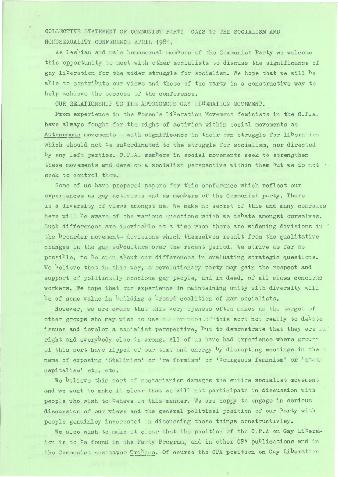COLLECTIVE STATEMENT OF COMMUNIST PARTY GAYS TO THE SOCIALISM AND HOMOSEXUALITY CONFERENCE APRIL 1981.

As lesbian and male homosexual members of the Communist Party we welcome this opportunity to meet with other socialists to discuss the significance of gay liberation for the wider struggle for socialism. We hope that we will be able to contribute our views and those of the party in a constructive way to help achieve the success of the conference.

OUR RELATIONSHIP TO THE AUTONOMOUS GAY LIBERATION MOVEMENT.

From experience in the Women's Liberation Movement feminists in the C.P.A, have always fought for the right of activism within social movements as Autonomous movements - with significance in their own struggle for liberatim which should not be subordinated to the struggle for socialism, nor directed by any left parties. C.P.A. members in social movements seek to strengthen these movements and develop a socialist perspective within them but we do not . seek to control them.

Some of us have prepared papers for this conference which reflect our experiences as gay activists and as members of the Communist party. There is a diversity of views amongst us. We make no secret of this and many comrades here will be aware of the various questions which we debate amongst ourselves. Such differences are inevitable at a time when there are widening divisions in  $\check{\phantom{a}}$ the broarder movement- divisions which themselves result from the qualitative changes in the gay subculture over the recent period. We strive as far as possible, to be open about our differences in evaluating strategic questions. We believe that in this way, a revolutionary party may gain the respect and support of politically concious gay people, and in deed, of all class concious workers. We hope that our experience in maintaining unity with diversity will be of some value in building a broard coalition of gay socialists.

However, we are aware that this very openess often makes us the target of other groups who may wish to use execution continues sort not really to debate issues and develop a socialist perspective, but to demonstrate that they are  $\mathbb{R}^+$ right and everybody else 's wrong. All of us have had experience where *grov~~*  of this sort have ripped of our time and energy by disrupting meetings in the 1 name of exposing 'Stalinism' or 're formism' or 'bourgeois feminism' or 'state capitalism' etc. etc.

We believe this sort of sectarianism damages the entire socialist movement and we want to make it clear that we will not participate in discussion with people who wish to behave in this manner. We are happy to engage in serious discussion of our views and the general political position of our Party with people genuinley interested in discussing these things constructivley.

We also wish to make it clear that the position of the C.P.A on Gay Liberation is to be found in the Party Program, and in other CPA publications and in the Communist newspaper Tribune. Of course the CPA position on Gay Liberation